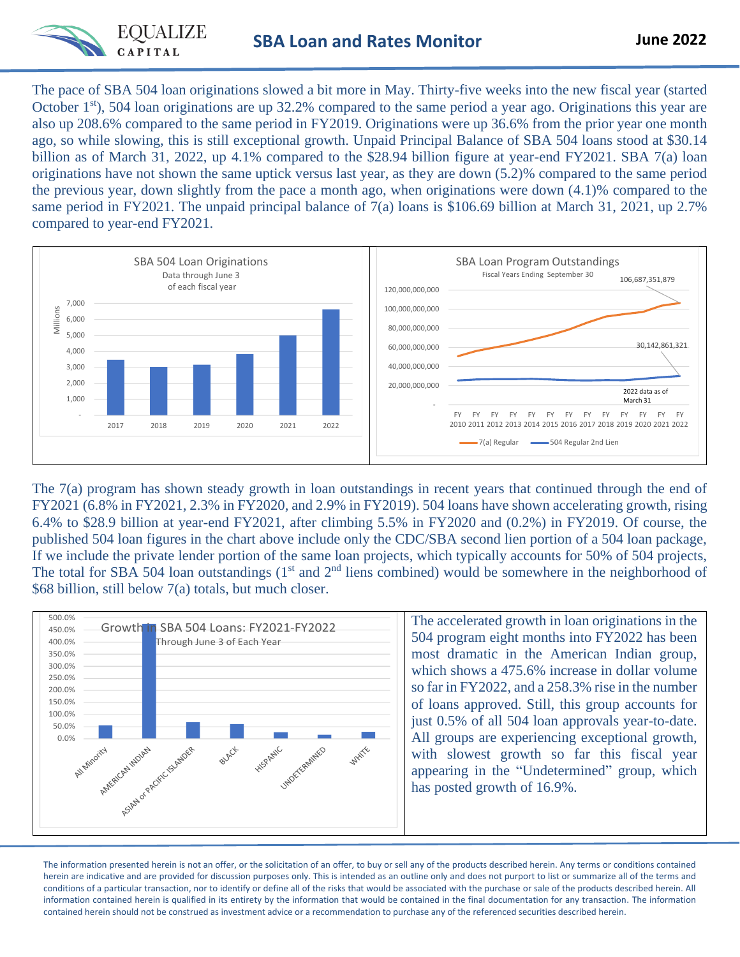

The pace of SBA 504 loan originations slowed a bit more in May. Thirty-five weeks into the new fiscal year (started October  $1<sup>st</sup>$ , 504 loan originations are up 32.2% compared to the same period a year ago. Originations this year are also up 208.6% compared to the same period in FY2019. Originations were up 36.6% from the prior year one month ago, so while slowing, this is still exceptional growth. Unpaid Principal Balance of SBA 504 loans stood at \$30.14 billion as of March 31, 2022, up 4.1% compared to the \$28.94 billion figure at year-end FY2021. SBA 7(a) loan originations have not shown the same uptick versus last year, as they are down (5.2)% compared to the same period the previous year, down slightly from the pace a month ago, when originations were down (4.1)% compared to the same period in FY2021. The unpaid principal balance of 7(a) loans is \$106.69 billion at March 31, 2021, up 2.7% compared to year-end FY2021.



The 7(a) program has shown steady growth in loan outstandings in recent years that continued through the end of FY2021 (6.8% in FY2021, 2.3% in FY2020, and 2.9% in FY2019). 504 loans have shown accelerating growth, rising 6.4% to \$28.9 billion at year-end FY2021, after climbing 5.5% in FY2020 and (0.2%) in FY2019. Of course, the published 504 loan figures in the chart above include only the CDC/SBA second lien portion of a 504 loan package, If we include the private lender portion of the same loan projects, which typically accounts for 50% of 504 projects, The total for SBA 504 loan outstandings  $(1<sup>st</sup>$  and  $2<sup>nd</sup>$  liens combined) would be somewhere in the neighborhood of \$68 billion, still below 7(a) totals, but much closer.



The accelerated growth in loan originations in the 504 program eight months into FY2022 has been most dramatic in the American Indian group, which shows a 475.6% increase in dollar volume so far in FY2022, and a 258.3% rise in the number of loans approved. Still, this group accounts for just 0.5% of all 504 loan approvals year-to-date. All groups are experiencing exceptional growth, with slowest growth so far this fiscal year appearing in the "Undetermined" group, which has posted growth of 16.9%.

The information presented herein is not an offer, or the solicitation of an offer, to buy or sell any of the products described herein. Any terms or conditions contained herein are indicative and are provided for discussion purposes only. This is intended as an outline only and does not purport to list or summarize all of the terms and conditions of a particular transaction, nor to identify or define all of the risks that would be associated with the purchase or sale of the products described herein. All information contained herein is qualified in its entirety by the information that would be contained in the final documentation for any transaction. The information contained herein should not be construed as investment advice or a recommendation to purchase any of the referenced securities described herein.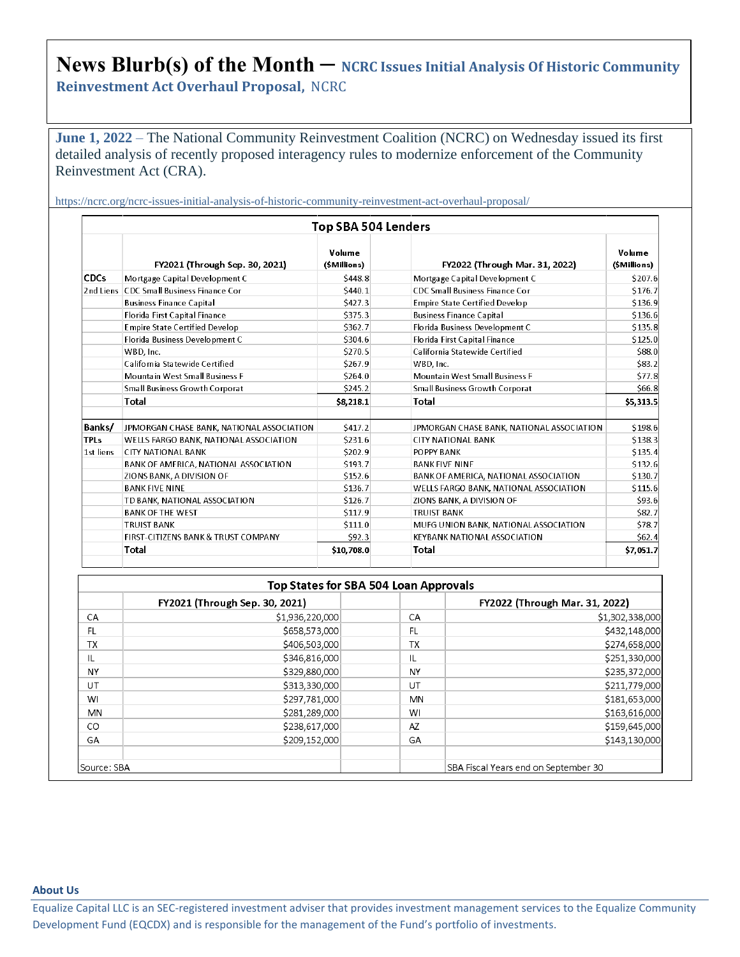## News Blurb(s) of the Month – NCRC Issues Initial Analysis Of Historic Community

**Reinvestment Act Overhaul Proposal,** NCRC

**June 1, 2022** – The National Community Reinvestment Coalition (NCRC) on Wednesday issued its first detailed analysis of recently proposed interagency rules to modernize enforcement of the Community Reinvestment Act (CRA).

https://ncrc.org/ncrc-issues-initial-analysis-of-historic-community-reinvestment-act-overhaul-proposal/

|             |                                           | <b>Top SBA 504 Lenders</b>                       |                                           |                                       |
|-------------|-------------------------------------------|--------------------------------------------------|-------------------------------------------|---------------------------------------|
|             | FY2021 (Through Sep. 30, 2021)            | Volume<br>(\$Millions)                           | FY2022 (Through Mar. 31, 2022)            | Volume<br>(SMillions)                 |
| <b>CDCs</b> | Mortgage Capital Development C            | \$448.8                                          | Mortgage Capital Development C            | \$207.6                               |
| 2nd Liens   | <b>CDC Small Business Finance Cor</b>     | \$440.1                                          | <b>CDC Small Business Finance Cor</b>     | \$176.7                               |
|             | <b>Business Finance Capital</b>           | \$427.3                                          | <b>Empire State Certified Develop</b>     | \$136.9                               |
|             | Florida First Capital Finance             | \$375.3                                          | <b>Business Finance Capital</b>           | \$136.6                               |
|             | <b>Empire State Certified Develop</b>     | \$362.7                                          | Florida Business Development C            | \$135.8                               |
|             | Florida Business Development C            | \$304.6                                          | Florida First Capital Finance             | \$125.0<br>\$88.0<br>\$83.2<br>\$77.8 |
|             | WBD, Inc.                                 | \$270.5                                          | California Statewide Certified            |                                       |
|             | California Statewide Certified            | \$267.9                                          | WBD, Inc.                                 |                                       |
|             | <b>Mountain West Small Business F</b>     | \$264.0                                          | <b>Mountain West Small Business F</b>     |                                       |
|             | <b>Small Business Growth Corporat</b>     | \$245.2<br><b>Small Business Growth Corporat</b> |                                           | \$66.8                                |
|             | <b>Total</b>                              | \$8,218.1                                        | Total                                     | \$5,313.5                             |
| Banks/      | JPMORGAN CHASE BANK, NATIONAL ASSOCIATION | S417.2                                           | JPMORGAN CHASE BANK, NATIONAL ASSOCIATION | \$198.6                               |
| <b>TPLs</b> | WELLS FARGO BANK, NATIONAL ASSOCIATION    | \$231.6                                          | <b>CITY NATIONAL BANK</b>                 | \$138.3                               |
| 1st liens   | <b>CITY NATIONAL BANK</b>                 | \$202.9                                          | POPPY BANK                                | \$135.4                               |
|             | BANK OF AMERICA, NATIONAL ASSOCIATION     | \$193.7                                          | <b>BANK FIVE NINE</b>                     | \$132.6                               |
|             | ZIONS BANK, A DIVISION OF                 | \$152.6                                          | BANK OF AMERICA, NATIONAL ASSOCIATION     | \$130.7                               |
|             | <b>BANK FIVE NINE</b>                     | \$136.7                                          | WELLS FARGO BANK, NATIONAL ASSOCIATION    |                                       |
|             | TD BANK, NATIONAL ASSOCIATION             | \$126.7                                          | ZIONS BANK, A DIVISION OF                 | \$93.6                                |
|             | <b>BANK OF THE WEST</b>                   | \$117.9                                          | <b>TRUIST BANK</b>                        | \$82.7                                |
|             | <b>TRUIST BANK</b>                        | \$111.0                                          | MUFG UNION BANK, NATIONAL ASSOCIATION     | \$78.7                                |
|             | FIRST-CITIZENS BANK & TRUST COMPANY       | \$92.3                                           | <b>KEYBANK NATIONAL ASSOCIATION</b>       | S62.4                                 |
|             | <b>Total</b>                              | \$10,708.0                                       | Total                                     | \$7,051.7                             |

| <b>Top States for SBA 504 Loan Approvals</b> |                                |           |                                      |  |  |  |  |
|----------------------------------------------|--------------------------------|-----------|--------------------------------------|--|--|--|--|
|                                              | FY2021 (Through Sep. 30, 2021) |           | FY2022 (Through Mar. 31, 2022)       |  |  |  |  |
| CA                                           | \$1,936,220,000                | CA        | \$1,302,338,000                      |  |  |  |  |
| FL.                                          | \$658,573,000                  | FL        | \$432,148,000                        |  |  |  |  |
| <b>TX</b>                                    | \$406,503,000                  | <b>TX</b> | \$274,658,000                        |  |  |  |  |
| IL                                           | \$346,816,000                  | L         | \$251,330,000                        |  |  |  |  |
| <b>NY</b>                                    | \$329,880,000                  | NY        | \$235,372,000                        |  |  |  |  |
| UT                                           | \$313,330,000                  | UT        | \$211,779,000                        |  |  |  |  |
| WI                                           | \$297,781,000                  | MN        | \$181,653,000                        |  |  |  |  |
| <b>MN</b>                                    | \$281,289,000                  | WI        | \$163,616,000                        |  |  |  |  |
| <sub>CO</sub>                                | \$238,617,000                  | AZ        | \$159,645,000                        |  |  |  |  |
| GA                                           | \$209,152,000                  | GA        | \$143,130,000                        |  |  |  |  |
| Source: SBA                                  |                                |           | SBA Fiscal Years end on September 30 |  |  |  |  |

## **About Us**

Equalize Capital LLC is an SEC-registered investment adviser that provides investment management services to the Equalize Community Development Fund (EQCDX) and is responsible for the management of the Fund's portfolio of investments.